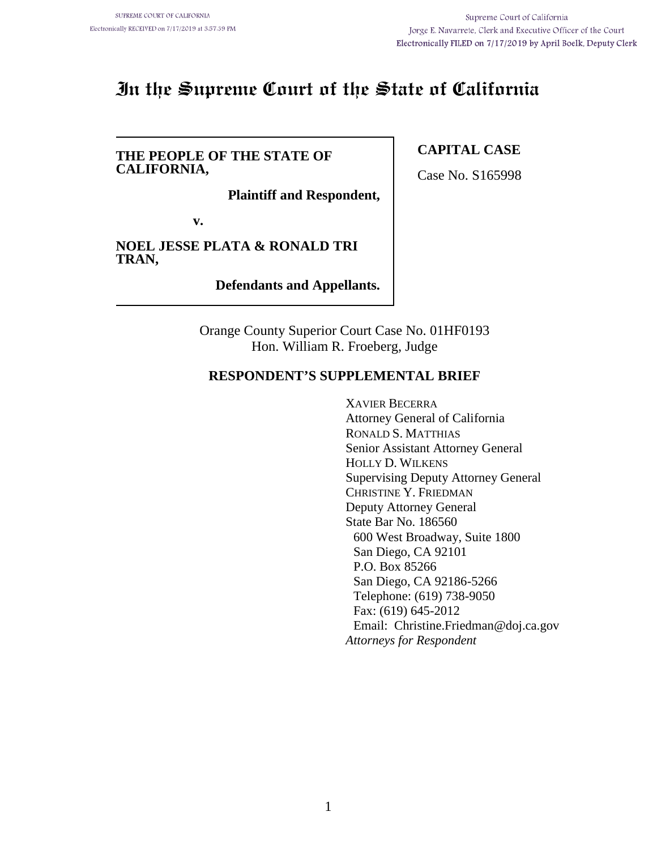# **In the Supreme Court of the State of California**

#### **THE PEOPLE OF THE STATE OF CALIFORNIA,**

**Plaintiff and Respondent,**

**v.**

**NOEL JESSE PLATA & RONALD TRI TRAN,**

**Defendants and Appellants.**

Orange County Superior Court Case No. 01HF0193 Hon. William R. Froeberg, Judge

### **RESPONDENT'S SUPPLEMENTAL BRIEF**

XAVIER BECERRA Attorney General of California RONALD S. MATTHIAS Senior Assistant Attorney General HOLLY D. WILKENS Supervising Deputy Attorney General CHRISTINE Y. FRIEDMAN Deputy Attorney General State Bar No. 186560 600 West Broadway, Suite 1800 San Diego, CA 92101 P.O. Box 85266 San Diego, CA 92186-5266 Telephone: (619) 738-9050 Fax: (619) 645-2012 Email: Christine.Friedman@doj.ca.gov *Attorneys for Respondent*

## **CAPITAL CASE**

Case No. S165998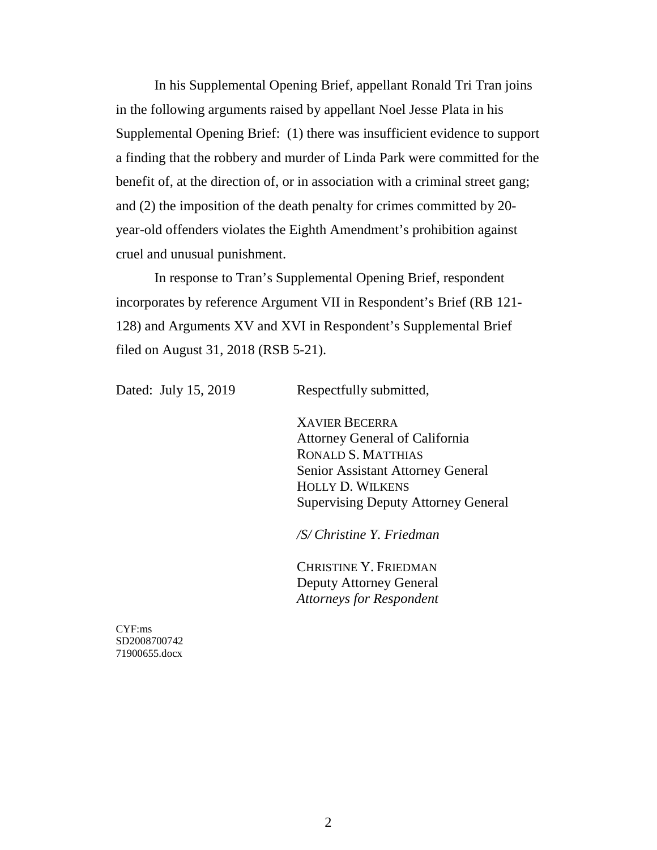In his Supplemental Opening Brief, appellant Ronald Tri Tran joins in the following arguments raised by appellant Noel Jesse Plata in his Supplemental Opening Brief: (1) there was insufficient evidence to support a finding that the robbery and murder of Linda Park were committed for the benefit of, at the direction of, or in association with a criminal street gang; and (2) the imposition of the death penalty for crimes committed by 20 year-old offenders violates the Eighth Amendment's prohibition against cruel and unusual punishment.

In response to Tran's Supplemental Opening Brief, respondent incorporates by reference Argument VII in Respondent's Brief (RB 121- 128) and Arguments XV and XVI in Respondent's Supplemental Brief filed on August 31, 2018 (RSB 5-21).

Dated: July 15, 2019 Respectfully submitted,

XAVIER BECERRA Attorney General of California RONALD S. MATTHIAS Senior Assistant Attorney General HOLLY D. WILKENS Supervising Deputy Attorney General

*/S/ Christine Y. Friedman*

CHRISTINE Y. FRIEDMAN Deputy Attorney General *Attorneys for Respondent*

CYF:ms SD2008700742 71900655.docx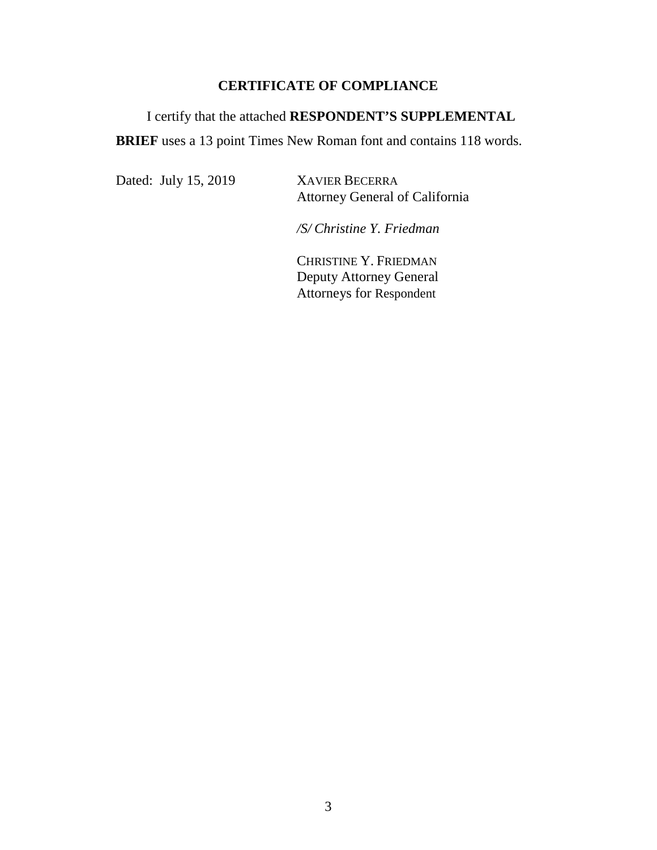## **CERTIFICATE OF COMPLIANCE**

# I certify that the attached **RESPONDENT'S SUPPLEMENTAL BRIEF** uses a 13 point Times New Roman font and contains 118 words.

Dated: July 15, 2019 XAVIER BECERRA

Attorney General of California

*/S/ Christine Y. Friedman*

CHRISTINE Y. FRIEDMAN Deputy Attorney General Attorneys for Respondent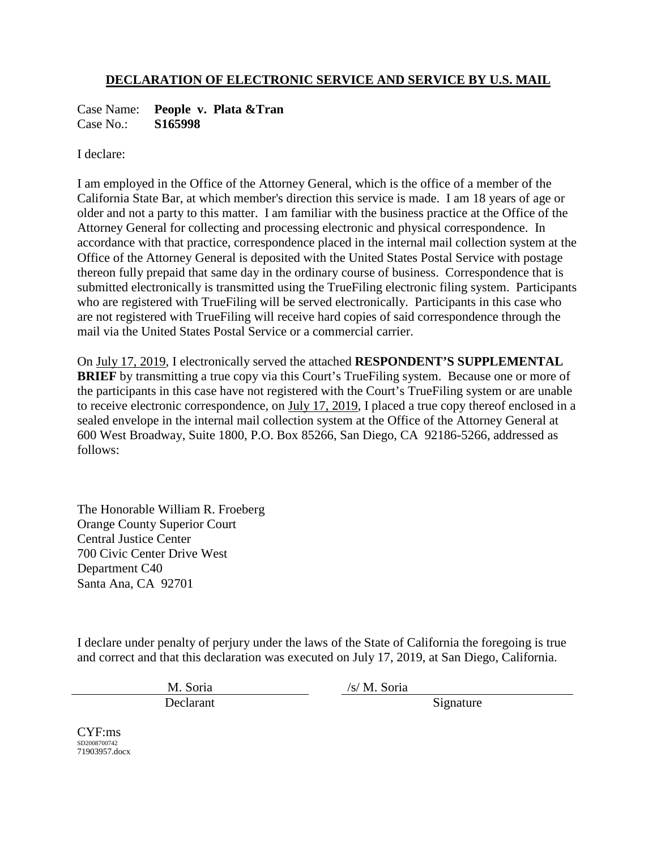## **DECLARATION OF ELECTRONIC SERVICE AND SERVICE BY U.S. MAIL**

Case Name: **People v. Plata &Tran**<br>Case No.: **S165998** Case No.:

I declare:

I am employed in the Office of the Attorney General, which is the office of a member of the California State Bar, at which member's direction this service is made. I am 18 years of age or older and not a party to this matter. I am familiar with the business practice at the Office of the Attorney General for collecting and processing electronic and physical correspondence. In accordance with that practice, correspondence placed in the internal mail collection system at the Office of the Attorney General is deposited with the United States Postal Service with postage thereon fully prepaid that same day in the ordinary course of business. Correspondence that is submitted electronically is transmitted using the TrueFiling electronic filing system. Participants who are registered with TrueFiling will be served electronically. Participants in this case who are not registered with TrueFiling will receive hard copies of said correspondence through the mail via the United States Postal Service or a commercial carrier.

On July 17, 2019, I electronically served the attached **RESPONDENT'S SUPPLEMENTAL BRIEF** by transmitting a true copy via this Court's TrueFiling system. Because one or more of the participants in this case have not registered with the Court's TrueFiling system or are unable to receive electronic correspondence, on July 17, 2019, I placed a true copy thereof enclosed in a sealed envelope in the internal mail collection system at the Office of the Attorney General at 600 West Broadway, Suite 1800, P.O. Box 85266, San Diego, CA 92186-5266, addressed as follows:

The Honorable William R. Froeberg Orange County Superior Court Central Justice Center 700 Civic Center Drive West Department C40 Santa Ana, CA 92701

I declare under penalty of perjury under the laws of the State of California the foregoing is true and correct and that this declaration was executed on July 17, 2019, at San Diego, California.

Declarant Signature

M. Soria /s/ M. Soria

CYF:ms SD2008700742 71903957.docx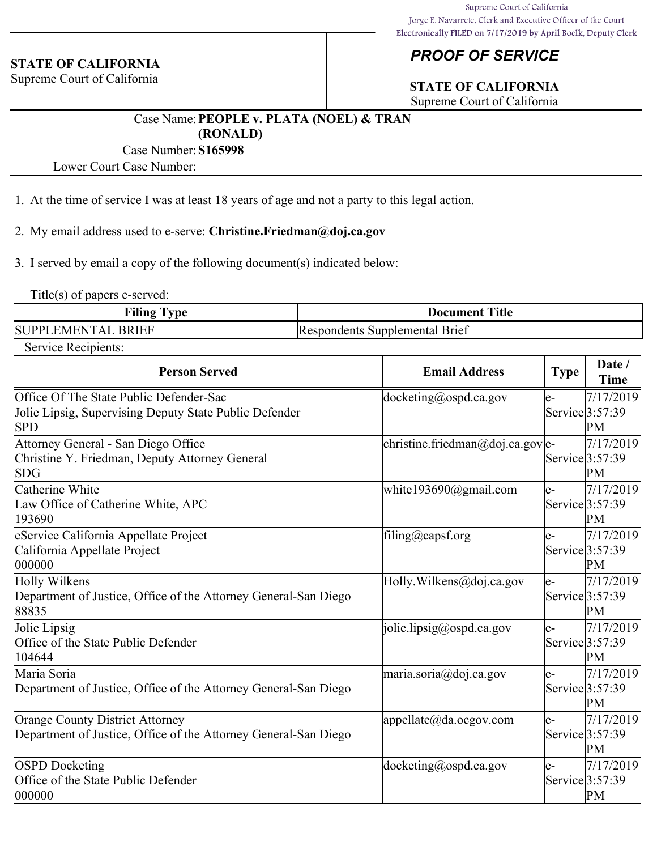#### **STATE OF CALIFORNIA**

Supreme Court of California

# *PROOF OF SERVICE*

# **STATE OF CALIFORNIA**

Supreme Court of California

### Case Name:**PEOPLE v. PLATA (NOEL) & TRAN (RONALD)**

### Case Number:**S165998**

Lower Court Case Number:

- 1. At the time of service I was at least 18 years of age and not a party to this legal action.
- 2. My email address used to e-serve: **Christine.Friedman@doj.ca.gov**
- 3. I served by email a copy of the following document(s) indicated below:

Title(s) of papers e-served:

| <b>Filing</b>                           | <b>Title</b>                             |  |
|-----------------------------------------|------------------------------------------|--|
| <b>vpe</b>                              | Document                                 |  |
| <b>BRIEF</b><br><b>SUPPL</b><br>EMENTAL | <b>Respondents</b><br>Supplemental Brief |  |

Service Recipients:

| <b>Person Served</b>                                                                                      | <b>Email Address</b>                                 | <b>Type</b> | Date /<br><b>Time</b>                |
|-----------------------------------------------------------------------------------------------------------|------------------------------------------------------|-------------|--------------------------------------|
| Office Of The State Public Defender-Sac<br>Jolie Lipsig, Supervising Deputy State Public Defender<br> SPD | $ $ docketing@ospd.ca.gov                            | e-          | 7/17/2019<br>Service $3:57:39$<br>PМ |
| Attorney General - San Diego Office<br>Christine Y. Friedman, Deputy Attorney General<br> SDG             | christine.friedman@doj.ca.gov e-                     |             | 7/17/2019<br>Service 3:57:39<br>PM   |
| Catherine White<br>Law Office of Catherine White, APC<br>193690                                           | white193690@gmail.com                                | le-         | 7/17/2019<br>Service 3:57:39<br>PM   |
| eService California Appellate Project<br>California Appellate Project<br>000000                           | filing@capsf.org                                     | le-         | 7/17/2019<br>Service 3:57:39<br>PМ   |
| Holly Wilkens<br>Department of Justice, Office of the Attorney General-San Diego<br>88835                 | Holly. Wilkens@doj.ca.gov                            | le-         | 7/17/2019<br>Service $3:57:39$<br>PM |
| Jolie Lipsig<br>Office of the State Public Defender<br>104644                                             | [jolie.lipsig@ospd.ca.gov]                           | le-         | 7/17/2019<br>Service $3:57:39$<br>PM |
| Maria Soria<br>Department of Justice, Office of the Attorney General-San Diego                            | $\text{maria.soria}\textcircled{a}\text{doj.ca.gov}$ | le-         | 7/17/2019<br>Service $3:57:39$<br>PМ |
| Orange County District Attorney<br>Department of Justice, Office of the Attorney General-San Diego        | $ {\rm appellate}(a)$ da.ocgov.com                   | le-         | 7/17/2019<br>Service 3:57:39<br>PM   |
| <b>OSPD</b> Docketing<br>Office of the State Public Defender<br>000000                                    | $ $ docketing@ospd.ca.gov                            | le-         | 7/17/2019<br>Service 3:57:39<br>PM   |